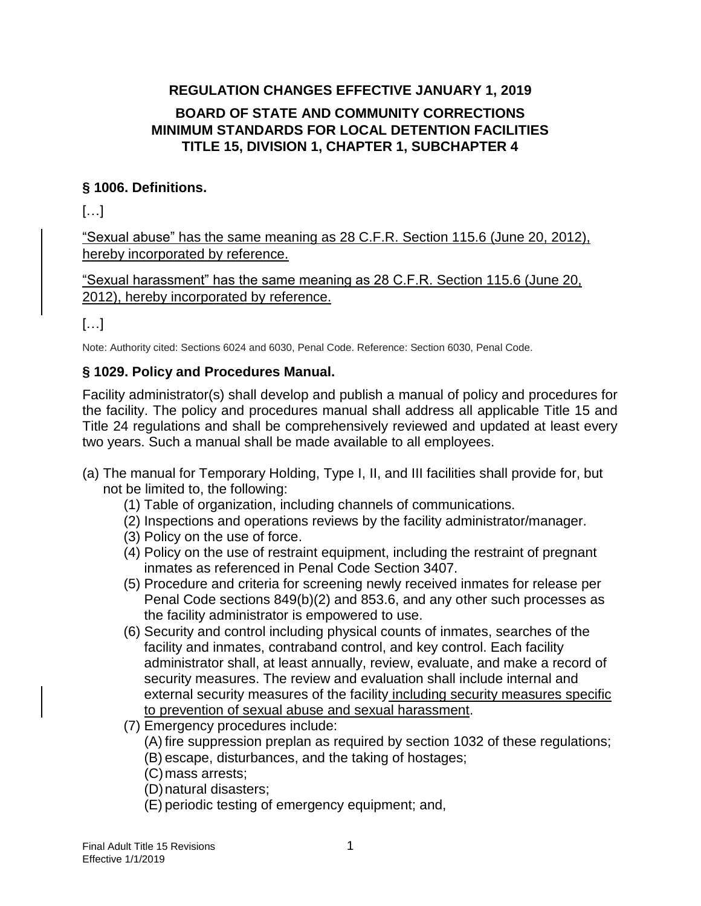## **REGULATION CHANGES EFFECTIVE JANUARY 1, 2019 BOARD OF STATE AND COMMUNITY CORRECTIONS MINIMUM STANDARDS FOR LOCAL DETENTION FACILITIES TITLE 15, DIVISION 1, CHAPTER 1, SUBCHAPTER 4**

## **§ 1006. Definitions.**

 $[\ldots]$ 

"Sexual abuse" has the same meaning as 28 C.F.R. Section 115.6 (June 20, 2012), hereby incorporated by reference.

"Sexual harassment" has the same meaning as 28 C.F.R. Section 115.6 (June 20, 2012), hereby incorporated by reference.

# […]

Note: Authority cited: Sections 6024 and 6030, Penal Code. Reference: Section 6030, Penal Code.

## **§ 1029. Policy and Procedures Manual.**

Facility administrator(s) shall develop and publish a manual of policy and procedures for the facility. The policy and procedures manual shall address all applicable Title 15 and Title 24 regulations and shall be comprehensively reviewed and updated at least every two years. Such a manual shall be made available to all employees.

- (a) The manual for Temporary Holding, Type I, II, and III facilities shall provide for, but not be limited to, the following:
	- (1) Table of organization, including channels of communications.
	- (2) Inspections and operations reviews by the facility administrator/manager.
	- (3) Policy on the use of force.
	- (4) Policy on the use of restraint equipment, including the restraint of pregnant inmates as referenced in Penal Code Section 3407.
	- (5) Procedure and criteria for screening newly received inmates for release per Penal Code sections 849(b)(2) and 853.6, and any other such processes as the facility administrator is empowered to use.
	- (6) Security and control including physical counts of inmates, searches of the facility and inmates, contraband control, and key control. Each facility administrator shall, at least annually, review, evaluate, and make a record of security measures. The review and evaluation shall include internal and external security measures of the facility including security measures specific to prevention of sexual abuse and sexual harassment.
	- (7) Emergency procedures include:
		- (A) fire suppression preplan as required by section 1032 of these regulations; (B) escape, disturbances, and the taking of hostages;
		- (C)mass arrests;
		- (D)natural disasters;
		- (E) periodic testing of emergency equipment; and,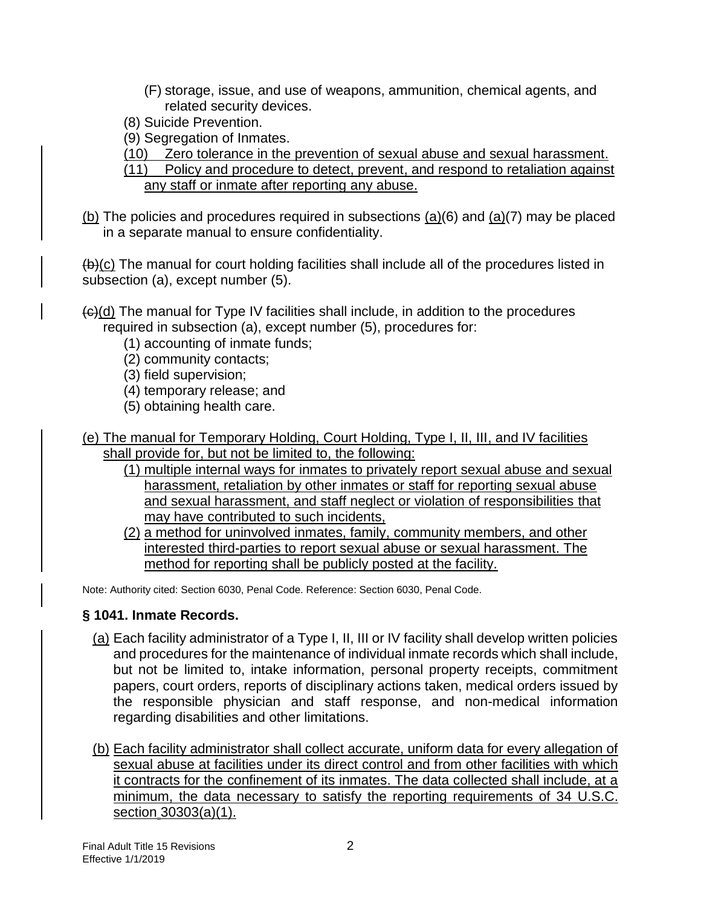- (F) storage, issue, and use of weapons, ammunition, chemical agents, and related security devices.
- (8) Suicide Prevention.
- (9) Segregation of Inmates.
- (10) Zero tolerance in the prevention of sexual abuse and sexual harassment.
- (11) Policy and procedure to detect, prevent, and respond to retaliation against any staff or inmate after reporting any abuse.
- (b) The policies and procedures required in subsections (a)(6) and (a)(7) may be placed in a separate manual to ensure confidentiality.

 $(b)(c)$  The manual for court holding facilities shall include all of the procedures listed in subsection (a), except number (5).

- $\left\{ \Theta \right\}$ (d) The manual for Type IV facilities shall include, in addition to the procedures required in subsection (a), except number (5), procedures for:
	- (1) accounting of inmate funds;
	- (2) community contacts;
	- (3) field supervision;
	- (4) temporary release; and
	- (5) obtaining health care.
- (e) The manual for Temporary Holding, Court Holding, Type I, II, III, and IV facilities shall provide for, but not be limited to, the following:
	- (1) multiple internal ways for inmates to privately report sexual abuse and sexual harassment, retaliation by other inmates or staff for reporting sexual abuse and sexual harassment, and staff neglect or violation of responsibilities that may have contributed to such incidents,
	- (2) a method for uninvolved inmates, family, community members, and other interested third-parties to report sexual abuse or sexual harassment. The method for reporting shall be publicly posted at the facility.

Note: Authority cited: Section 6030, Penal Code. Reference: Section 6030, Penal Code.

#### **§ 1041. Inmate Records.**

- (a) Each facility administrator of a Type I, II, III or IV facility shall develop written policies and procedures for the maintenance of individual inmate records which shall include, but not be limited to, intake information, personal property receipts, commitment papers, court orders, reports of disciplinary actions taken, medical orders issued by the responsible physician and staff response, and non-medical information regarding disabilities and other limitations.
- (b) Each facility administrator shall collect accurate, uniform data for every allegation of sexual abuse at facilities under its direct control and from other facilities with which it contracts for the confinement of its inmates. The data collected shall include, at a minimum, the data necessary to satisfy the reporting requirements of 34 U.S.C. section 30303(a)(1).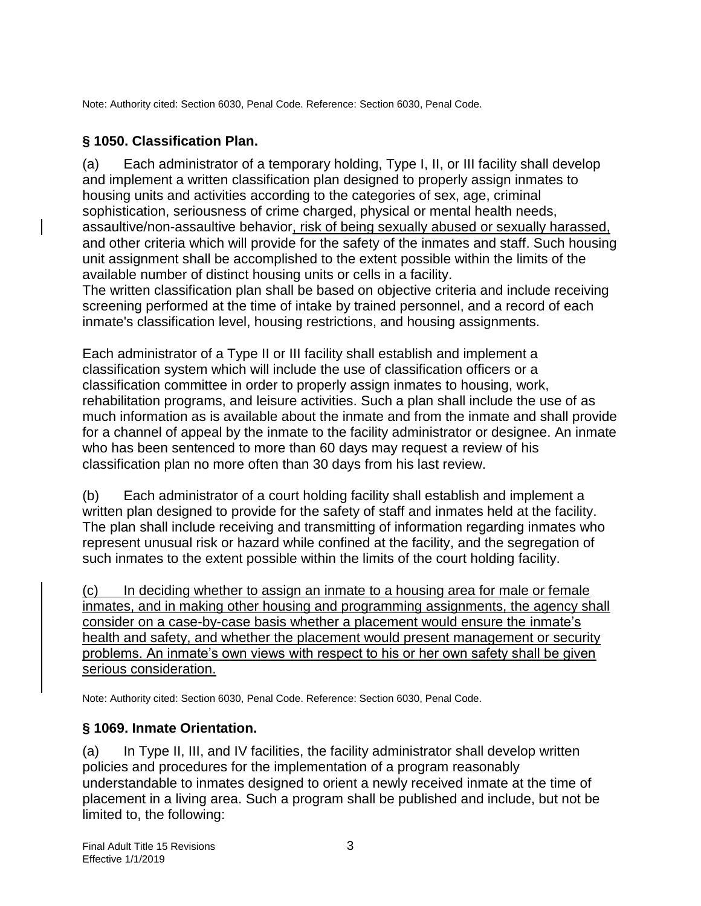Note: Authority cited: Section 6030, Penal Code. Reference: Section 6030, Penal Code.

#### **§ 1050. Classification Plan.**

(a) Each administrator of a temporary holding, Type I, II, or III facility shall develop and implement a written classification plan designed to properly assign inmates to housing units and activities according to the categories of sex, age, criminal sophistication, seriousness of crime charged, physical or mental health needs, assaultive/non-assaultive behavior, risk of being sexually abused or sexually harassed, and other criteria which will provide for the safety of the inmates and staff. Such housing unit assignment shall be accomplished to the extent possible within the limits of the available number of distinct housing units or cells in a facility.

The written classification plan shall be based on objective criteria and include receiving screening performed at the time of intake by trained personnel, and a record of each inmate's classification level, housing restrictions, and housing assignments.

Each administrator of a Type II or III facility shall establish and implement a classification system which will include the use of classification officers or a classification committee in order to properly assign inmates to housing, work, rehabilitation programs, and leisure activities. Such a plan shall include the use of as much information as is available about the inmate and from the inmate and shall provide for a channel of appeal by the inmate to the facility administrator or designee. An inmate who has been sentenced to more than 60 days may request a review of his classification plan no more often than 30 days from his last review.

(b) Each administrator of a court holding facility shall establish and implement a written plan designed to provide for the safety of staff and inmates held at the facility. The plan shall include receiving and transmitting of information regarding inmates who represent unusual risk or hazard while confined at the facility, and the segregation of such inmates to the extent possible within the limits of the court holding facility.

(c) In deciding whether to assign an inmate to a housing area for male or female inmates, and in making other housing and programming assignments, the agency shall consider on a case-by-case basis whether a placement would ensure the inmate's health and safety, and whether the placement would present management or security problems. An inmate's own views with respect to his or her own safety shall be given serious consideration.

Note: Authority cited: Section 6030, Penal Code. Reference: Section 6030, Penal Code.

#### **§ 1069. Inmate Orientation.**

(a) In Type II, III, and IV facilities, the facility administrator shall develop written policies and procedures for the implementation of a program reasonably understandable to inmates designed to orient a newly received inmate at the time of placement in a living area. Such a program shall be published and include, but not be limited to, the following: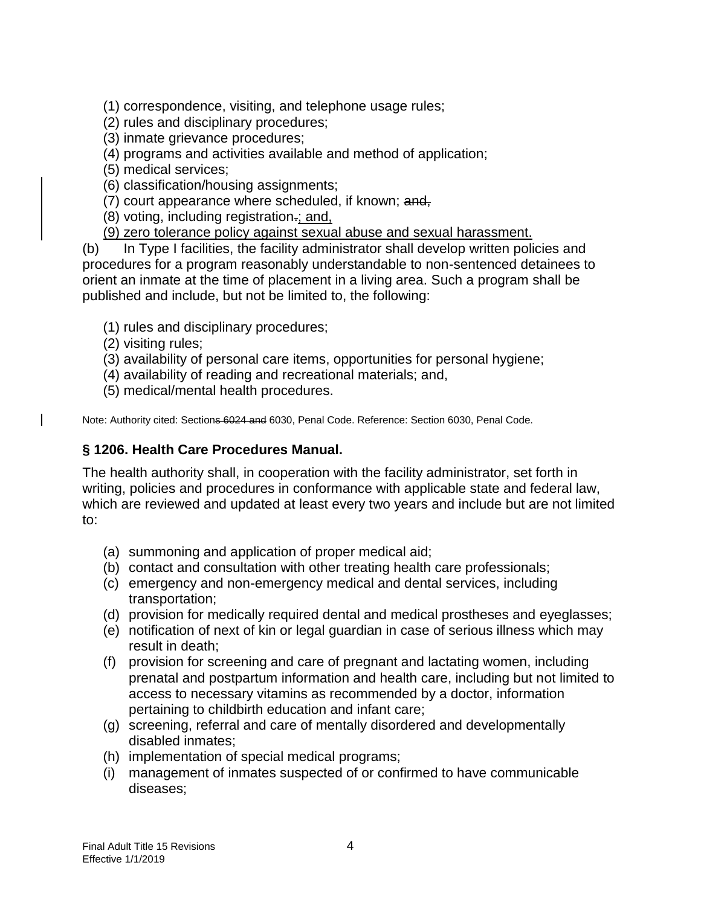(1) correspondence, visiting, and telephone usage rules;

- (2) rules and disciplinary procedures;
- (3) inmate grievance procedures;
- (4) programs and activities available and method of application;
- (5) medical services;
- (6) classification/housing assignments;
- (7) court appearance where scheduled, if known: and,
- (8) voting, including registration.; and,
- (9) zero tolerance policy against sexual abuse and sexual harassment.

(b) In Type I facilities, the facility administrator shall develop written policies and procedures for a program reasonably understandable to non-sentenced detainees to orient an inmate at the time of placement in a living area. Such a program shall be published and include, but not be limited to, the following:

- (1) rules and disciplinary procedures;
- (2) visiting rules;
- (3) availability of personal care items, opportunities for personal hygiene;
- (4) availability of reading and recreational materials; and,
- (5) medical/mental health procedures.

Note: Authority cited: Sections 6024 and 6030, Penal Code. Reference: Section 6030, Penal Code.

#### **§ 1206. Health Care Procedures Manual.**

The health authority shall, in cooperation with the facility administrator, set forth in writing, policies and procedures in conformance with applicable state and federal law, which are reviewed and updated at least every two years and include but are not limited to:

- (a) summoning and application of proper medical aid;
- (b) contact and consultation with other treating health care professionals;
- (c) emergency and non-emergency medical and dental services, including transportation;
- (d) provision for medically required dental and medical prostheses and eyeglasses;
- (e) notification of next of kin or legal guardian in case of serious illness which may result in death;
- (f) provision for screening and care of pregnant and lactating women, including prenatal and postpartum information and health care, including but not limited to access to necessary vitamins as recommended by a doctor, information pertaining to childbirth education and infant care;
- (g) screening, referral and care of mentally disordered and developmentally disabled inmates;
- (h) implementation of special medical programs;
- (i) management of inmates suspected of or confirmed to have communicable diseases;